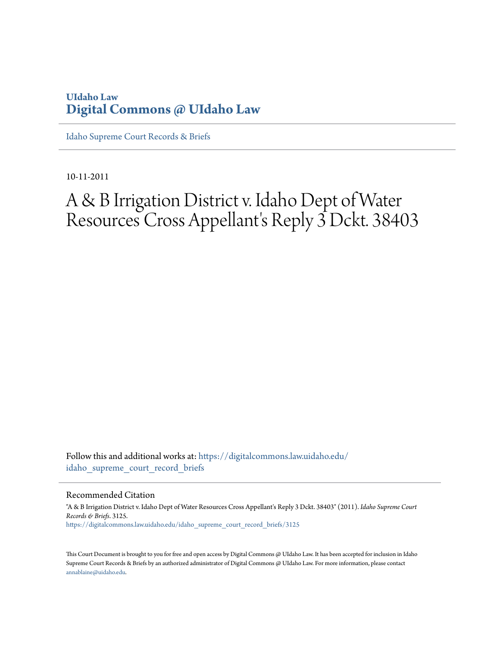# **UIdaho Law [Digital Commons @ UIdaho Law](https://digitalcommons.law.uidaho.edu?utm_source=digitalcommons.law.uidaho.edu%2Fidaho_supreme_court_record_briefs%2F3125&utm_medium=PDF&utm_campaign=PDFCoverPages)**

[Idaho Supreme Court Records & Briefs](https://digitalcommons.law.uidaho.edu/idaho_supreme_court_record_briefs?utm_source=digitalcommons.law.uidaho.edu%2Fidaho_supreme_court_record_briefs%2F3125&utm_medium=PDF&utm_campaign=PDFCoverPages)

10-11-2011

# A & B Irrigation District v. Idaho Dept of Water Resources Cross Appellant's Reply 3 Dckt. 38403

Follow this and additional works at: [https://digitalcommons.law.uidaho.edu/](https://digitalcommons.law.uidaho.edu/idaho_supreme_court_record_briefs?utm_source=digitalcommons.law.uidaho.edu%2Fidaho_supreme_court_record_briefs%2F3125&utm_medium=PDF&utm_campaign=PDFCoverPages) [idaho\\_supreme\\_court\\_record\\_briefs](https://digitalcommons.law.uidaho.edu/idaho_supreme_court_record_briefs?utm_source=digitalcommons.law.uidaho.edu%2Fidaho_supreme_court_record_briefs%2F3125&utm_medium=PDF&utm_campaign=PDFCoverPages)

Recommended Citation

"A & B Irrigation District v. Idaho Dept of Water Resources Cross Appellant's Reply 3 Dckt. 38403" (2011). *Idaho Supreme Court Records & Briefs*. 3125. [https://digitalcommons.law.uidaho.edu/idaho\\_supreme\\_court\\_record\\_briefs/3125](https://digitalcommons.law.uidaho.edu/idaho_supreme_court_record_briefs/3125?utm_source=digitalcommons.law.uidaho.edu%2Fidaho_supreme_court_record_briefs%2F3125&utm_medium=PDF&utm_campaign=PDFCoverPages)

This Court Document is brought to you for free and open access by Digital Commons @ UIdaho Law. It has been accepted for inclusion in Idaho Supreme Court Records & Briefs by an authorized administrator of Digital Commons @ UIdaho Law. For more information, please contact [annablaine@uidaho.edu](mailto:annablaine@uidaho.edu).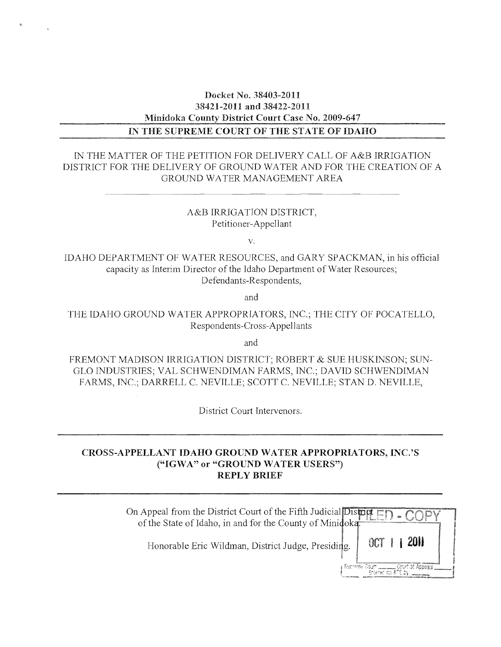### Docket No. 38403-2011 38421-2011 and 38422-2011 Minidoka County District Court Case No. 2009-647 IN THE SUPREME COURT OF THE STATE OF IDAHO

### IN THE MATTER OF THE PETITION FOR DELIVERY CALL OF A&B IRRIGATION DISTRICT FOR THE DELIVERY OF GROUND WATER AND FOR THE CREATION OF A GROUND WATER MANAGEMENT AREA

### A&B IRRIGATION DISTRICT, Petitioner-Appellant

v.

IDAHO DEPARTMENT OF \VATER RESOURCES, and GARY SPACKMAN, in his official capacity as Interim Director of the Idaho Department of Water Resources; Defendants-Respondents,

and

THE IDAHO GROUND WATER APPROPRIATORS, INC.; THE CITY OF POCATELLO, Respondents-Cross-Appellants

and

FREMONT MADISON IRRIGATION DISTRICT; ROBERT & SUE HUSKINSON; SUN-GLO INDUSTRIES; VAL SCHWENDIMAN FARMS, INC.; DAVID SCHWENDIMAN FARMS, INC.; DARRELL C. NEVILLE; SCOTT C. NEVILLE; STAN D. NEVILLE,

District Court Intervenors.

### CROSS-APPELLANT IDAHO GROUND \VATERAPPROPRIATORS, INC.'S **("IGWA" or** "GROUND WATER USERS") REPLY BRIEF

| On Appeal from the District Court of the Fifth Judicial District $\Box$ of the State of Idaho, in and for the County of Miniqoka. |              |  |
|-----------------------------------------------------------------------------------------------------------------------------------|--------------|--|
| Honorable Eric Wildman, District Judge, Presiding.                                                                                | OCT 1 1 2011 |  |
|                                                                                                                                   |              |  |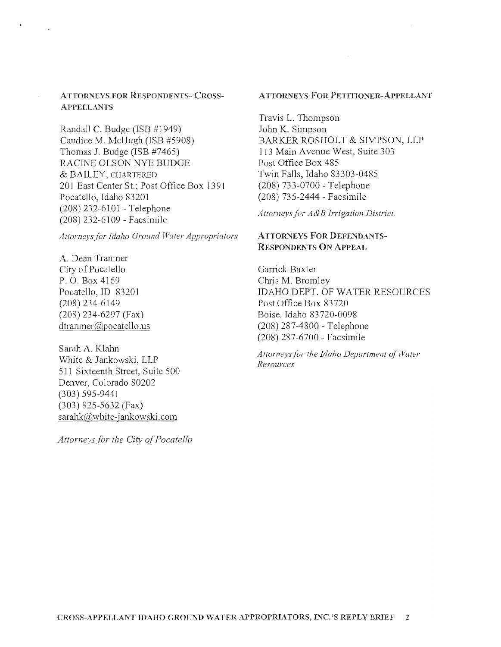### ATTORNEYS FOR RESPONDENTS- CROSS-ApPELLANTS

Randall C. Budge (ISB #1949) Candice M. McHugh (ISB #5908) Thomas J. Budge (ISB #7465) RACINE OLSON NYE BUDGE & BAILEY, CHARTERED 201 East Center St.; Post Office Box 1391 Pocatello, Idaho 83201 (208) 232-6101 - Telephone (208) 232-6109 - Facsimile

Attorneys for Idaho Ground Water Appropriators

A. Dean Tramner City of Pocatello P. O. Box 4169 Pocatello, ID 83201 (208) 234-6149 (208) 234-6297 (Fax) dtranmer@pocatello.us

Sarah A. Klahn White & Jankowski, LLP 511 Sixteenth Street, Suite 500 Denver, Colorado 80202 (303) 595-9441 (303) 825-5632 (Fax) sarahk@white-jankowski.com

*Attorneys for the City of Pocatello* 

#### ATTORNEYS FOR PETITIONER-APPELLANT

Travis L. Thompson John K. Simpson BARKER ROSHOLT & SIMPSON, LLP 113 Main Avenue \Vest, Suite 303 Post Office Box 485 Twin Falls, Idaho 83303-0485 (208) 733-0700 - Telephone (208) 735-2444 - Facsimile

*Attorneys for A&B Irrigation District.* 

### A TTORNEYS FOR DEFENDANTS-RESPONDENTS ON ApPEAL

Garrick Baxter Chris M. Bromley IDAHO DEPT. OF WATER RESOURCES Post Office Box 83720 Boise, Idaho 83720-0098 (208) 287-4800 - Telephone (208) 287-6700 - Facsimile

*Attorneys for the Idaho Department of Water Resources*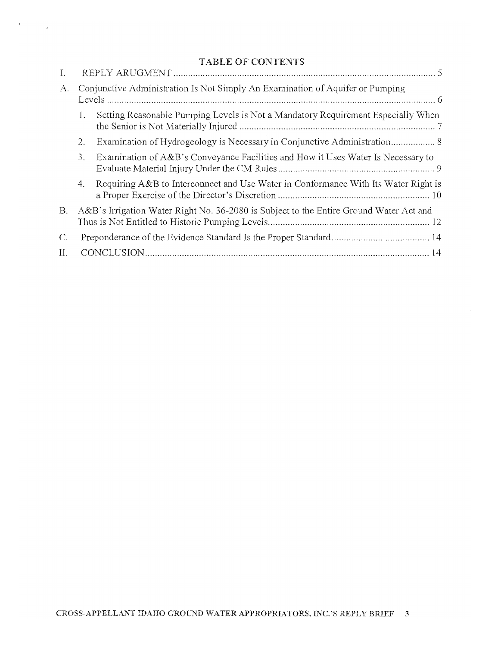### TABLE OF CONTENTS

 $\label{eq:3} \begin{array}{ccccc} 1 & & & & \\ & \ddots & & & \\ & & \ddots & & \\ & & & \ddots & \\ \end{array}$ 

| А. |    | Conjunctive Administration Is Not Simply An Examination of Aquifer or Pumping          |
|----|----|----------------------------------------------------------------------------------------|
|    |    | Setting Reasonable Pumping Levels is Not a Mandatory Requirement Especially When       |
|    | 2. | Examination of Hydrogeology is Necessary in Conjunctive Administration 8               |
|    | 3. | Examination of A&B's Conveyance Facilities and How it Uses Water Is Necessary to       |
|    | 4. | Requiring A&B to Interconnect and Use Water in Conformance With Its Water Right is     |
| B. |    | A&B's Irrigation Water Right No. 36-2080 is Subject to the Entire Ground Water Act and |
| C. |    |                                                                                        |
| H. |    |                                                                                        |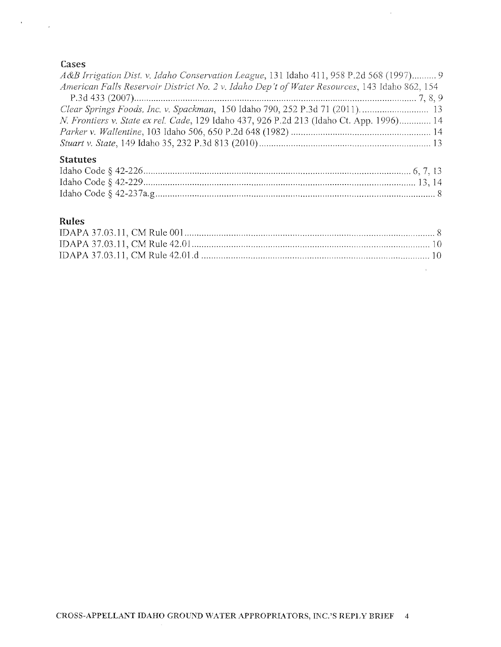### Cases

 $\label{eq:2.1} \mathcal{F}_{\text{max}} = \frac{1}{\sqrt{2\pi}} \sum_{i=1}^{N} \frac{1}{\sqrt{2\pi}} \sum_{i=1}^{N} \frac{1}{\sqrt{2\pi}} \sum_{i=1}^{N} \frac{1}{\sqrt{2\pi}} \sum_{i=1}^{N} \frac{1}{\sqrt{2\pi}} \sum_{i=1}^{N} \frac{1}{\sqrt{2\pi}} \sum_{i=1}^{N} \frac{1}{\sqrt{2\pi}} \sum_{i=1}^{N} \frac{1}{\sqrt{2\pi}} \sum_{i=1}^{N} \frac{1}{\sqrt{2\pi}} \sum_{i=1}^{N} \$ 

| A&B Irrigation Dist. v. Idaho Conservation League, 131 Idaho 411, 958 P.2d 568 (1997) 9       |  |
|-----------------------------------------------------------------------------------------------|--|
| American Falls Reservoir District No. 2 v. Idaho Dep't of Water Resources, 143 Idaho 862, 154 |  |
|                                                                                               |  |
|                                                                                               |  |
| N. Frontiers v. State ex rel. Cade, 129 Idaho 437, 926 P.2d 213 (Idaho Ct. App. 1996) 14      |  |
|                                                                                               |  |
|                                                                                               |  |
|                                                                                               |  |

 $\sim 10$ 

 $\mathcal{L}^{\text{max}}$ 

## Statutes

# Rules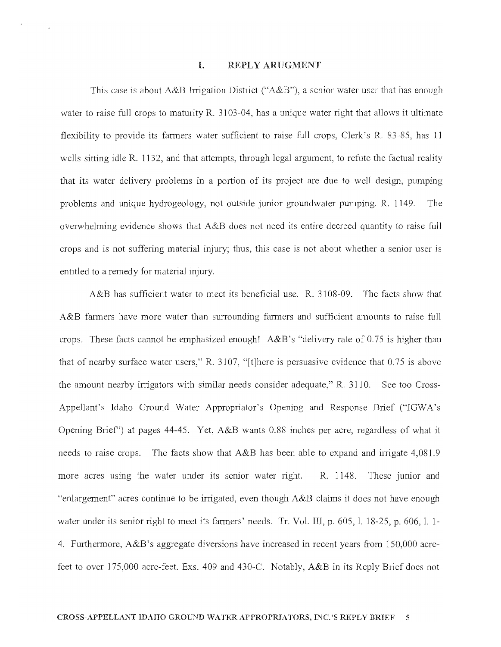#### 1. REPLY ARUGMENT

This case is about A&B Irrigation District ("A&B"), a senior water user that has enough water to raise full crops to maturity R. 3103-04, has a unique water right that allows it ultimate flexibility to provide its fanners water sufficient to raise full crops, Clerk's R. 83-85, has 11 wells sitting idle R. 1132, and that attempts, through legal argument, to refute the factual reality that its water delivery problems in a portion of its project are due to well design, pumping problems and unique hydrogeology, not outside junior groundwater pumping. R. 1149. The overwhelming evidence shows that A&B does not need its entire decreed quantity to raise full crops and is not suffering material injury; thus, this case is not about whether a senior user is entitled to a remedy for material injury.

A&B has sufficient water to meet its beneficial use. R. 3108-09. The facts show that A&B farmers have more water than surrounding farmers and sufficient amounts to raise full crops. These facts cannot be emphasized enough! A&B's "delivery rate of 0.75 is higher than that of nearby surface water users," R. 3107, "[t]here is persuasive evidence that  $0.75$  is above the amount nearby irrigators with similar needs consider adequate," R. 3110. See too Cross-Appellant's Idaho Ground Water Appropriator's Opening and Response Brief ("IGWA's Opening Brief") at pages 44-45. Yet, A&B wants 0.88 inches per acre, regardless of what it needs to raise crops. The facts show that A&B has been able to expand and irrigate 4,081.9 more acres using the water under its senior water right. R. 1148. These junior and "enlargement" acres continue to be irrigated, even though A&B claims it does not have enough water under its senior right to meet its farmers' needs. Tr. Vol. III, p. 605, l. 18-25, p. 606, l. 1-4. Furthermore, A&B's aggregate diversions have increased in recent years from 150,000 acrefeet to over 175,000 acre-feet. Exs. 409 and 430-C. Notably, A&B in its Reply Brief does not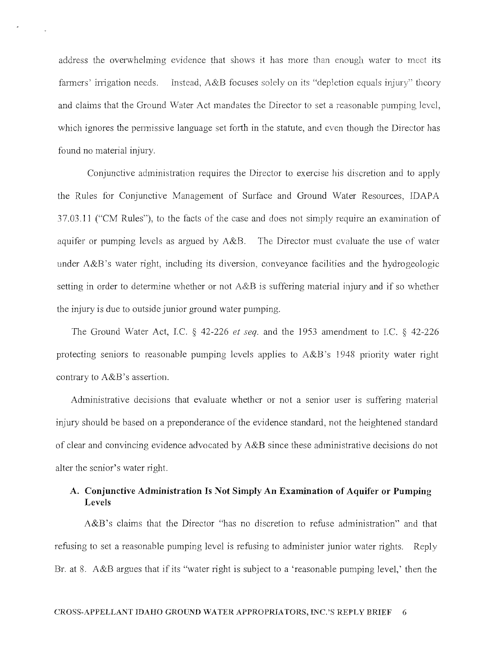address the overwhelming evidence that shows it has more than enough water to meet its farmers' irrigation needs. Instead, A&B focuses solely on its "depletion equals injury" theory and claims that the Ground Water Act mandates the Director to set a reasonable pumping level, which ignores the pennissive language set forth in the statute, and even though the Director has found no material injury.

Conjunctive administration requires the Director to exercise his discretion and to apply the Rules for Conjunctive Management of Surface and Ground Water Resources, IDAPA 37.03.11 ("CM Rules"), to the facts of the case and docs not simply require an examination of aquifer or pumping levels as argued by A&B. The Director must evaluate the use of water under A&B's water right, including its diversion, conveyance facilities and the hydrogeologic setting in order to determine whether or not A&B is suffering material injury and if so whether the injury is due to outside junior ground water pumping.

The Ground Water Act, I.C.  $\S$  42-226 *et seq.* and the 1953 amendment to I.C.  $\S$  42-226 protecting seniors to reasonable pumping levels applies to A&B's ] 948 priority water right contrary to A&B's assertion.

Administrative decisions that evaluate whether or not a senior user is suffering material injury should be based on a preponderance of the evidence standard, not the heightened standard of clear and convincing evidence advocated by A&B since these administrative decisions do not alter the senior's water right.

### **A. Conjunctive Administration Is Not Simply An Examination of Aquifer or Pumping Levels**

A&B's claims that the Director "has no discretion to refuse administration" and that refusing to set a reasonable pumping level is refusing to administer junior water rights. Reply Br. at 8. A&B argues that if its "water right is subject to a 'reasonable pumping level,' then the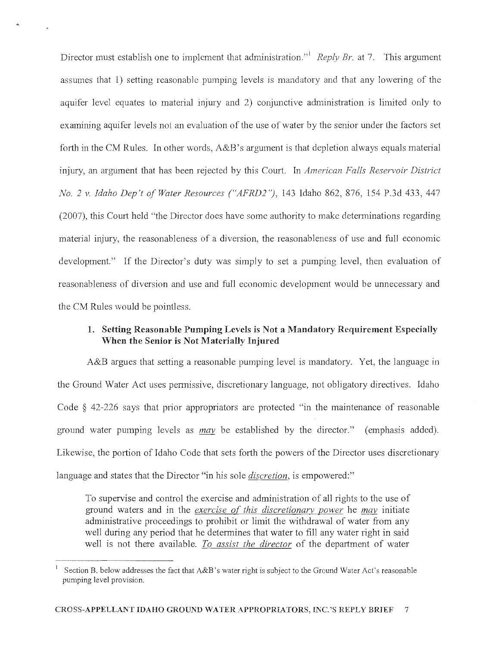Director must establish one to implement that administration.<sup><sup>1</sup></sup> *Reply Br.* at 7. This argument assumes that 1) setting reasonable pumping levels is mandatory and that any lowering of the aquifer level equates to material injury and 2) conjunctive administration is limited only to examining aquifer levels not an evaluation of the use of water by the senior under the factors set forth in the CM Rules. In other words,  $A&B$ 's argument is that depletion always equals material injury, an argument that has been rejected by this Court. In *American Falls Reservoir District No.2 v. Idaho Dep't of Water Resources ("AFRD2* "), 143 Idaho 862, 876, 154 P.3d 433, 447 (2007), this Court held "the Director does have some authority to make detenninations regarding material injury, the reasonableness of a diversion, the reasonableness of use and full economic development." If the Director's duty was simply to set a pumping level, then evaluation of reasonableness of diversion and use and full economic development would be unnecessary and the CM Rules would be pointless.

### 1. Setting Reasonable Pumping Levels is Not a Mandatory Requirement Especially When the Senior is Not Materially Injured

A&B argues that setting a reasonable pumping level is mandatory. Yet, the language in the Ground Water Act uses pennissive, discretionary language, not obligatory directives. Idaho Code § 42-226 says that prior appropriators are protected "in the maintenance of reasonable ground water pumping levels as *may* be established by the director." (emphasis added). Likewise, the portion of Idaho Code that sets forth the powers of the Director uses discretionary language and states that the Director "in his sole *discretion,* is empowered:"

To supervise and control the exercise and administration of all rights to the use of ground waters and in the *exercise of this discretionarv power* he *may* initiate administrative proceedings to prohibit or limit the withdrawal of water from any well during any period that he determines that water to fill any water right in said well is not there available. To assist the director of the department of water

<sup>)</sup> Section B. below addresses the fact that A&B's water right is subject to the Ground Water Act's reasonable pumping level provision.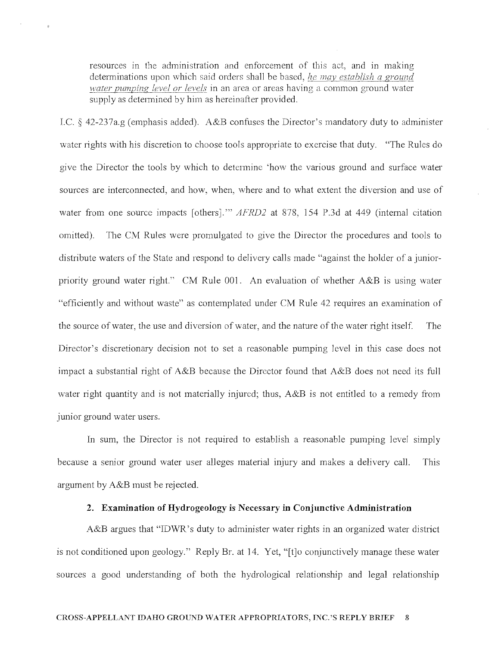resources in the administration and enforcement of this act, and in making determinations upon which said orders shall be based, *he may establish a ground nater pumping level or levels* in an area or areas having a common ground water supply as determined by him as hereinafter provided.

I.C.  $\S$  42-237a.g (emphasis added). A&B confuses the Director's mandatory duty to administer water rights with his discretion to choose tools appropriate to exercise that duty. "The Rules do give the Director the tools by which to determine 'how the various ground and surface water sources are interconnected, and how, when, where and to what extent the diversion and use of water from one source impacts [others].'" *AFRD2* at 878, 154 P.3d at 449 (internal citation omitted). The CM Rules were promulgated to give the Director the procedures and tools to distribute waters of the State and respond to delivery calls made "against the holder of a juniorpriority ground water right." CM Rule 001. An evaluation of whether  $A\&B$  is using water "efficiently and without waste" as contemplated under CM Rule 42 requires an examination of the source of water, the use and diversion of water, and the nature of the water right itself. The Director's discretionary decision not to set a reasonable pumping level in this case does not impact a substantial right of  $A\&B$  because the Director found that  $A\&B$  does not need its full water right quantity and is not materially injured; thus, A&B is not entitled to a remedy from junior ground water users.

In sum, the Director is not required to establish a reasonable pumping level simply because a senior ground water user alleges material injury and makes a delivery call. This argument by A&B must be rejected.

### **2. Examination of Hydrogeology is Necessary in Conjunctive Administration**

A&B argues that "IDWR's duty to administer water rights in an organized water district is not conditioned upon geology." Reply Br. at 14. Yet, "[t]o conjunctively manage these water sources a good understanding of both the hydrological relationship and legal relationship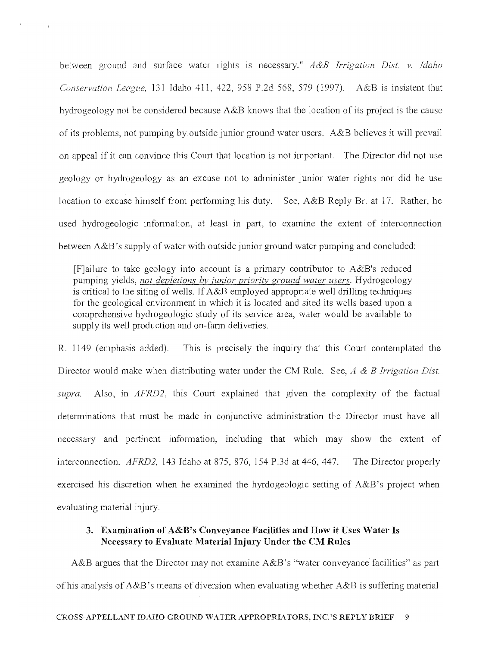between ground and surface water rights is necessary." *A &B Irrigation Dist. v. Idaho Conservation League,* 131 Idaho 411, 422, 958 P.2d 568, 579 (1997). A&B is insistent that hydrogeology not be considered because A&B knows that the location of its project is the cause of its problems, not pumping by outside junior ground water users. A&B believes it will prevail on appeal if it can convince this Court that location is not important. The Director did not use geology or hydrogeology as an excuse not to administer junior water rights nor did he use location to excuse himself from performing his duty. See, A&B Reply Br. at 17. Rather, he used hydrogeologic information, at least in part, to examine the extent of interconnection between A&B's supply of water with outside junior ground water pumping and concluded:

 $\rightarrow$ 

 $[F]$ ailure to take geology into account is a primary contributor to A&B's reduced pumping yields, *not depletions bv junior-prioritv ground water users.* Hydrogeology is critical to the siting of wells. If A&B employed appropriate well drilling techniques for the geological environment in which it is located and sited its wells based upon a comprehensive hydrogeologic study of its service area, water would be available to supply its well production and on-farm deliveries.

R. 1149 (emphasis added). This is precisely the inquiry that this Court contemplated the Director would make when distributing water under the CM Rule. See, *A* & *B Irrigation Dist. supra.* Also, in *AFRD2,* this Court explained that given the complexity of the factual determinations that must be made in conjunctive administration the Director must have all necessary and pertinent information, including that which may show the extent of interconnection. *AFRD2,* 143 Idaho at 875, 876, 154 P.3d at 446,447. The Director properly exercised his discretion when he examined the hyrdogeologic setting of A&B's project when evaluating material injury.

### 3. Examination of A&B's Conveyance Facilities and How it Uses Water Is Necessary to Evaluate Material Injury Under the CM Rules

A&B argues that the Director may not examine  $A&B$ 's "water conveyance facilities" as part of his analysis of  $A\&B$ 's means of diversion when evaluating whether  $A\&B$  is suffering material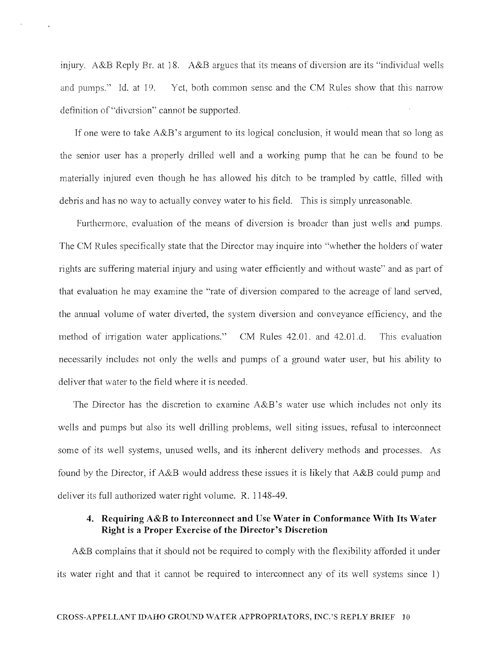injury. A&B Reply Br. at 18. A&B argues that its means of diversion are its "individual wells" and pumps." Id. at 19. Yet, both common sense and the CM Rules show that this narrow definition of "diversion" cannot be supported.

If one were to take A&B's argument to its logical conclusion, it would mean that so long as the senior user has a properly drilled well and a working pump that he can be found to be materially injured even though he has allowed his ditch to be trampled by cattle, filled with debris and has no way to actually convey water to his field. This is simply unreasonable.

Furthermore, evaluation of the means of diversion is broader than just wells and pumps. The CM Rules specifically state that the Director may inquire into "whether the holders of water rights are suffering material injury and using water efficiently and without waste" and as part of that evaluation he may examine the "rate of diversion compared to the acreage of land served, the annual volume of water diverted, the system diversion and conveyance efficiency, and the method of irrigation water applications." CM Rules 42.01. and 42.01.d. This evaluation necessarily includes not only the wells and pumps of a ground water user, but his ability to deliver that water to the field where it is needed.

The Director has the discretion to examine  $A\&B$ 's water use which includes not only its wells and pumps but also its well drilling problems, well siting issues, refusal to interconnect some of its well systems, unused wells, and its inherent delivery methods and processes. As found by the Director, if A&B would address these issues it is likely that A&B could pump and deliver its full authorized water right volume. R. 1148-49.

### **4. Requiring A&B to Interconnect and Use Water in Conformance With Its Water Right is a Proper Exercise of the Director's Discretion**

A&B complains that it should not be required to comply with the flexibility afforded it under its water right and that it cannot be required to interconnect any of its well systems since 1)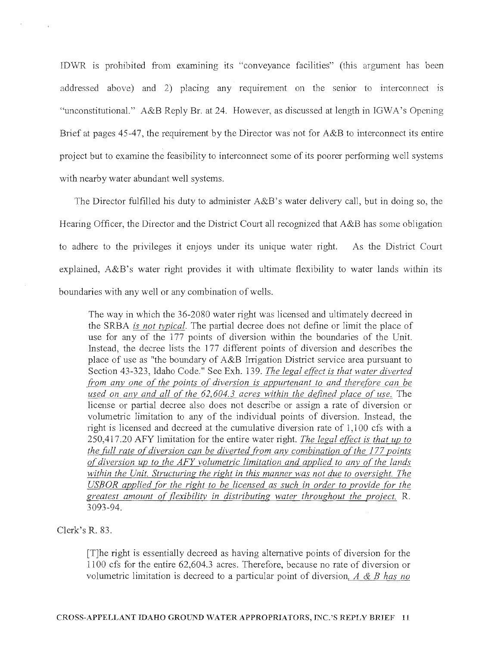IDWR is prohibited from exammmg its "conveyance facilities" (this argument has been addressed above) and 2) placing any requirement on the senior to interconnect is "unconstitutional." A&B Reply Br. at 24. However, as discussed at length in IGWA's Opening Brief at pages  $45-47$ , the requirement by the Director was not for  $A&B$  to interconnect its entire project but to examine the feasibility to interconnect some of its poorer perfonning well systems with nearby water abundant well systems.

The Director fulfilled his duty to administer A&B's water delivery call, but in doing so, the Hearing Officer, the Director and the District Court all recognized that A&B has some obligation to adhere to the privileges it enjoys under its unique water right. As the District Court explained, A&B's water right provides it with ultimate flexibility to water lands within its boundaries with any well or any combination of wells.

The way in which the 36-2080 water right was licensed and ultimately decreed in the SRBA *is not typical*. The partial decree does not define or limit the place of use for any of the 177 points of diversion within the boundaries of the Unit. Instead, the decree lists the 177 different points of diversion and describes the place of use as "the boundary of A&B Irrigation District service area pursuant to Section 43-323, Idaho Code." See Exh. 139. *The legal effect is that water diverted (rom anY' one of the points or diversion is appurtenant to and there{ore can be used on any and all of the 62,604.3 acres within the defined place of use.* The license or partial decree also does not describe or assign a rate of diversion or volumetric limitation to any of the individual points of diversion. Instead, the right is licensed and decreed at the cumulative diversion rate of 1,100 cfs with a 250,417.20 AFY liniitation for the entire water right. *The legal effect is that up to the full rate of diversion can be diverted from any combination of the 177 points of diversion up to the AFY volUlnetric limitation and applied to any of the lands within the Unit. Structuring the right in this manner was not due to oversight. The USBOR applied {or the right to be licensed as such in order to provide {or the greatest amount or flexibility in distributing water throughout the project.* R. 3093-94.

Clerk's R. 83.

[TJhe right is essentially decreed as having altemative points of diversion for the 1100 cfs for the entire 62,604.3 acres. Therefore, because no rate of diversion or volumetric limitation is decreed to a particular point of diversion, *A & B has no*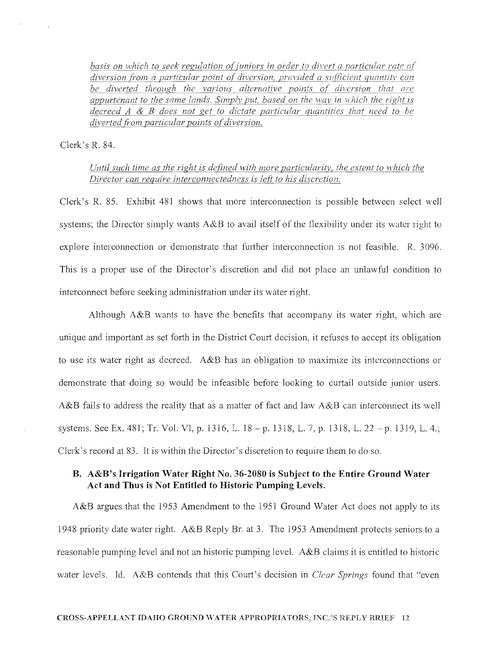*basis on which to seek regulation of juniors in order to divert a particular rate of* diversion from a particular point of diversion, provided a sufficient quantity can *be diverted through the various alternative points of diversion that are appurtenant to the same lands. Simply put, based on the way in which the right is decreed A* & *B does not get to dictate particular quantities that need to be diverted {i-om particular points of diversion.* 

Clerk's R. 84.

 $\bar{\alpha}$ 

### *Until such time as the right is defined with more particularitv, the extent to which the Director can require interconnectedness is left to his discretion.*

Clerk's R. 85. Exhibit 481 shows that more interconnection is possible between select well systems; the Director simply wants A&B to avail itself of the flexibility under its water right to explore interconnection or demonstrate that further interconnection is not feasible. R. 3096. This is a proper use of the Director's discretion and did not place an unlawful condition to interconnect before seeking administration under its water right.

Although A&B wants to have the benefits that accompany its water right, which are unique and important as set forth in the District Court decision, it refuses to accept its obligation to use its water right as decreed. A&B has an obligation to maximize its interconnections or demonstrate that doing so would be infeasible before looking to curtail outside junior users. A&B fails to address the reality that as a matter of fact and law A&B can interconnect its well systems. See Ex. 481; Tr. Vol. VI, p. 1316, L.  $18 - p$ . 1318, L. 7, p. 1318, L.  $22 - p$ . 1319, L. 4.; Clerk's record at 83. It is within the Director's discretion to require them to do so.

### **B. A&B's Irrigation Water Right No. 36-2080 is Subject to the Entire Ground Water Act and Thus is Not Entitled to Historic Pumping Levels.**

A&B argues that the 1953 Amendment to the 1951 Ground Water Act does not apply to its 1948 priority date water right. A&B Reply Br. at 3. The 1953 Amendment protects seniors to a reasonable pumping level and not an historic pumping level.  $A\&B$  claims it is entitled to historic water levels. Id. A&B contends that this Court's decision in *Clear Springs* found that "even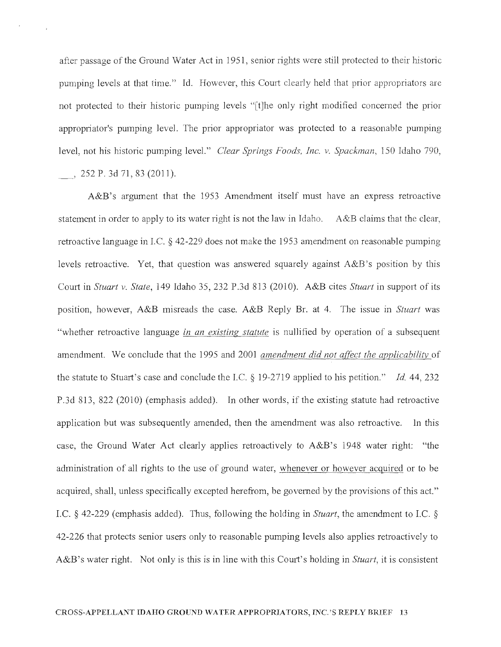after passage of the Ground Water Act in 1951, senior rights were still protected to their historic pumping levels at that time." Id. However, this Court clearly held that prior appropriators are not protected to their historic pumping levels "[t]he only right modified concerned the prior appropriator's pumping level. The prior appropriator was protected to a reasonable pumping level, not his historic pumping level." *Clear Springs Foods, Inc. v. Spackman*, 150 Idaho 790.

 $252$  P. 3d 71, 83 (2011).

A&B's argument that the 1953 Amendment itself must have an express retroactive statement in order to apply to its water right is not the law in Idaho. A&B claims that the clear, retroactive language in I.C. § 42-229 does not make the 1953 amendment on reasonable pumping levels retroactive. Yet, that question was answered squarely against A&B's position by this Court in *Stuart v. State,* 149 Idaho 35, 232 P.3d 813 (2010). A&B cites *Stuart* in suppoli of its position, however, A&B misreads the case. A&B Reply Br. at 4. The issue in *Stuart* was "whether retroactive language *in an existing statute* is nullified by operation of a subsequent amendment. We conclude that the 1995 and 2001 *amendment did not affect the applicability* of the statute to Stuart's case and conclude the I.C.  $\S$  19-2719 applied to his petition." *Id.* 44, 232 P.3d 813,822 (2010) (emphasis added). In other words, if the existing statute had retroactive application but was subsequently amended, then the amendment was also retroactive. In this case, the Ground Water Act clearly applies retroactively to A&B's 1948 water right: "the administration of all rights to the use of ground water, whenever or however acquired or to be acquired, shall, unless specifically excepted herefrom, be governed by the provisions of this act." I.C. § 42-229 (emphasis added). Thus, following the holding in *Stuart,* the amendment to I.C. § 42-226 that protects senior users only to reasonable pumping levels also applies retroactively to A&B's water right. Not only is this is in line with this Court's holding in *Stuart*, it is consistent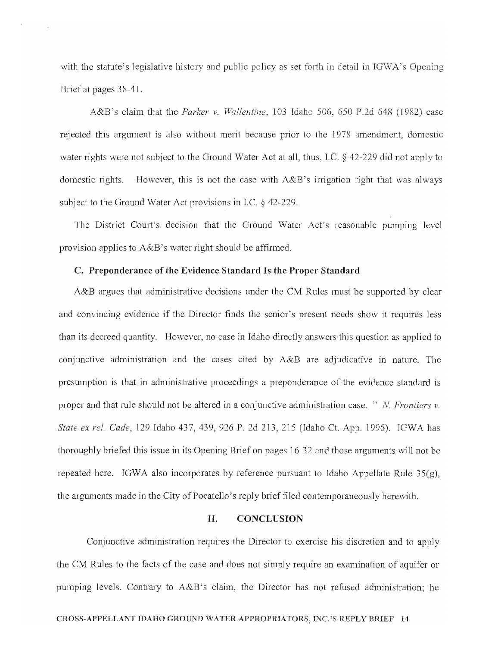with the statute's legislative history and public policy as set forth in detail in IGWA's Opening Brief at pages 38-41.

 $\overline{\phantom{a}}$ 

A&B's claim that the *Parker v. Wallentine*, 103 Idaho 506, 650 P.2d 648 (1982) case rejected this argument is also without merit because prior to the 1978 amendment, domestic water rights were not subject to the Ground Water Act at all, thus, I.C.  $\S$  42-229 did not apply to domestic rights. However, this is not the case with A&B's irrigation right that was always subject to the Ground Water Act provisions in I.C.  $\S$  42-229.

The District Court's decision that the Ground Water Act's reasonable pumping level provision applies to  $A&B$ 's water right should be affirmed.

### C. Preponderance of the Evidence Standard Is the Proper Standard

A&B argues that administrative decisions under the CM Rules must be supported by clear and convincing evidence if the Director finds the senior's present needs show it requires less than its decreed quantity. However, no case in Idaho directly answers this question as applied to conjunctive administration and the cases cited by A&B are adjudicative in nature. The presumption is that in administrative proceedings a preponderance of the evidence standard is proper and that rule should not be altered in a conjunctive administration case. " *N Frontiers v. State ex rel. Cade, 129 Idaho 437, 439, 926 P. 2d 213, 215 (Idaho Ct. App. 1996). IGWA has* thoroughly briefed this issue in its Opening Brief on pages 16-32 and those arguments will not be repeated here. IGWA also incorporates by reference pursuant to Idaho Appellate Rule  $35(g)$ , the arguments made in the City of Pocatello's reply brief filed contemporaneously herewith.

### **II.** CONCLUSION

Conjunctive administration requires the Director to exercise his discretion and to apply the CM Rules to the facts of the case and does not simply require an examination of aquifer or pumping levels. Contrary to A&B's claim, the Director has not refused administration; he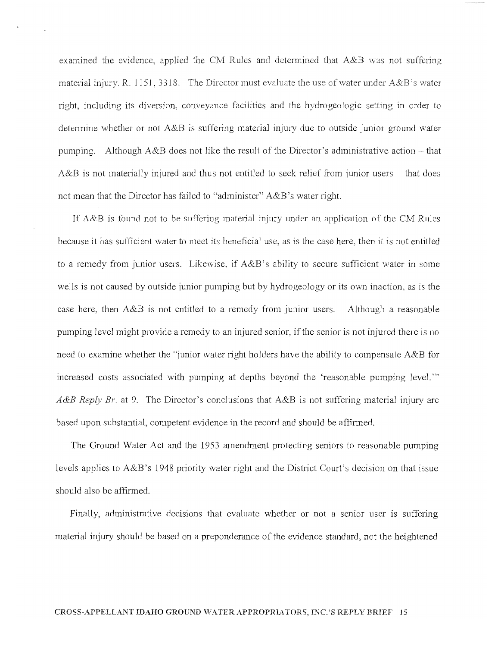examined the evidence, applied the CM Rules and determined that  $A\&B$  was not suffering material injury. R. 1151,3318. The Director must evaluate the use of water under A&B's water right, including its diversion, conveyance facilities and the hydrogeologic setting in order to determine whether or not  $A\&B$  is suffering material injury due to outside junior ground water pumping. Although A&B does not like the result of the Director's administrative action  $-$  that  $A\&B$  is not materially injured and thus not entitled to seek relief from junior users – that does not mean that the Director has failed to "administer"  $A\&B$ 's water right.

If  $A\&B$  is found not to be suffering material injury under an application of the CM Rules because it has sufficient water to meet its beneficial use, as is the case here, then it is not entitled to a remedy from junior users. Likewise, if A&B's ability to secure sufficient water in some wells is not caused by outside junior pumping but by hydrogeology or its own inaction, as is the case here, then A&B is not entitled to a remedy from junior users. Although a reasonable pumping level might provide a remedy to an injured senior, if the senior is not injured there is no need to examine whether the "junior water right holders have the ability to compensate A&B for increased costs associated with pumping at depths beyond the 'reasonable pumping level.'" *A&B Reply Br.* at 9. The Director's conclusions that A&B is not suffering material injury are based upon substantial, competent evidence in the record and should be affinned.

The Ground Water Act and the 1953 amendment protecting seniors to reasonable pumping levels applies to A&B's 1948 priority water right and the District Court's decision on that issue should also be affinned.

Finally, administrative decisions that evaluate whether or not a senior user is suffering material injury should be based on a preponderance of the evidence standard, not the heightened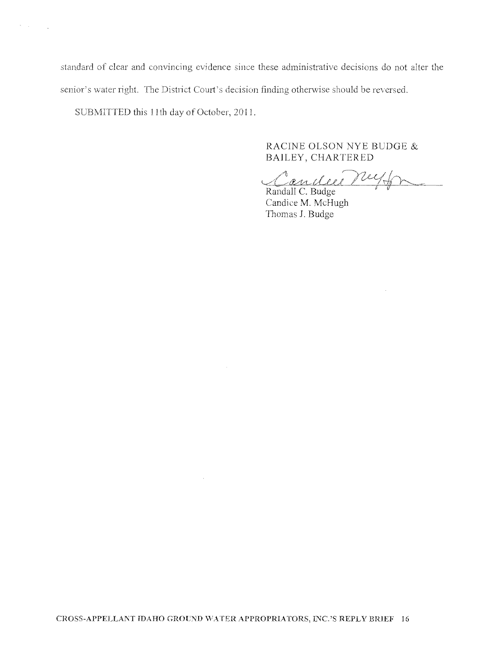standard of clear and convincing evidence since these administrative decisions do not alter the senior's water right. The District Court's decision finding otherwise should be reversed.

SUBMITTED this 11th day of October, 2011.

 $\sigma_{\rm{max}}=100$ 

### RACINE OLSON NYE BUDGE & BAILEY, CHARTERED

Candie neyon

 $\sim 10^7$ 

Randall C. Budge<br>Candice M. McHugh Thomas J. Budge

 $\sim$ 

 $\sim$